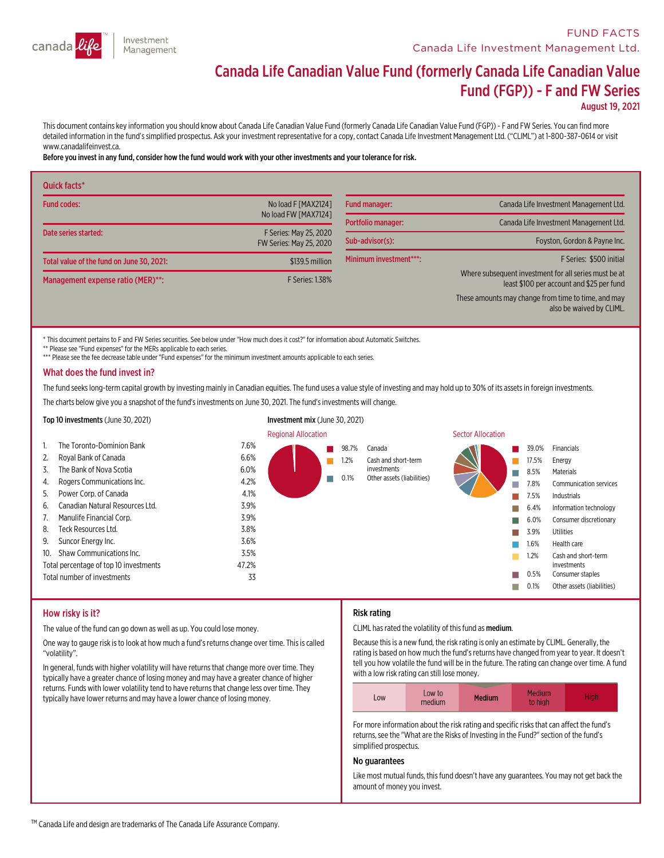

# Canada Life Canadian Value Fund (formerly Canada Life Canadian Value Fund (FGP)) - <sup>F</sup> and FW Series

August 19, 2021

This document contains key information you should know about Canada Life Canadian Value Fund (formerly Canada Life Canadian Value Fund (FGP)) - F and FW Series. You can find more detailed information in the fund's simplifi

#### Before you invest in any fund,consider how the fund would work with your other investments and your tolerance for risk.

| Quick facts*                              |                                                   |                        |                                                                                                    |
|-------------------------------------------|---------------------------------------------------|------------------------|----------------------------------------------------------------------------------------------------|
| <b>Fund codes:</b>                        | No load F [MAX21241]                              | <b>Fund manager:</b>   | Canada Life Investment Management Ltd.                                                             |
|                                           | No load FW [MAX7124]                              | Portfolio manager:     | Canada Life Investment Management Ltd.                                                             |
| Date series started:                      | F Series: May 25, 2020<br>FW Series: May 25, 2020 | Sub-advisor(s):        | Foyston, Gordon & Payne Inc.                                                                       |
| Total value of the fund on June 30, 2021: | \$139.5 million                                   | Minimum investment***: | F Series: \$500 initial                                                                            |
| Management expense ratio (MER)**:         | F Series: 1.38%                                   |                        | Where subsequent investment for all series must be at<br>least \$100 per account and \$25 per fund |
|                                           |                                                   |                        | These amounts may change from time to time, and may<br>also be waived by CLIML.                    |

\* This document pertains to F and FW Series securities. See below under "How much does it cost?" for information about Automatic Switches.

\*\* Please see "Fund expenses" for the MERs applicable to each series.

\*\*\* Please see the fee decrease table under "Fund expenses" for the minimum investment amounts applicable to each series.

#### What does the fund invest in?

The fund seeks long-term capital growth by investing mainly in Canadian equities. The fund uses a value style of investing and may hold up to 30% of its assets in foreign investments.

The charts below give you a snapshot of the fund's investments on June 30, 2021. The fund's investments will change.



#### How risky is it?

The value of the fund can go down as well as up. You could lose money.

One way to gauge risk is to look at how much a fund's returns change over time. This is called "volatility".

In general, funds with higher volatility will have returns that change more over time. They typically have a greater chance of losing money and may have a greater chance of higher returns. Funds with lower volatility tend to have returns that change less over time. They typically have lower returns and may have a lower chance of losing money.

#### Risk rating

CLIML has rated the volatility of this fund as medium.

Because thisis a new fund, the risk rating is only an estimate by CLIML. Generally, the rating is based on how much the fund's returns have changed from year to year. It doesn't tell you how volatile the fund will be in the future. The rating can change over time. <sup>A</sup> fund with <sup>a</sup> low risk rating can still lose money.

For more information about the risk rating and specific risks that can affect the fund's returns, see the "What are the Risks of Investing in the Fund?" section of the fund's simplified prospectus.

# No guarantees

Like most mutual funds, this fund doesn't have any guarantees. You may not get back the amount of money you invest.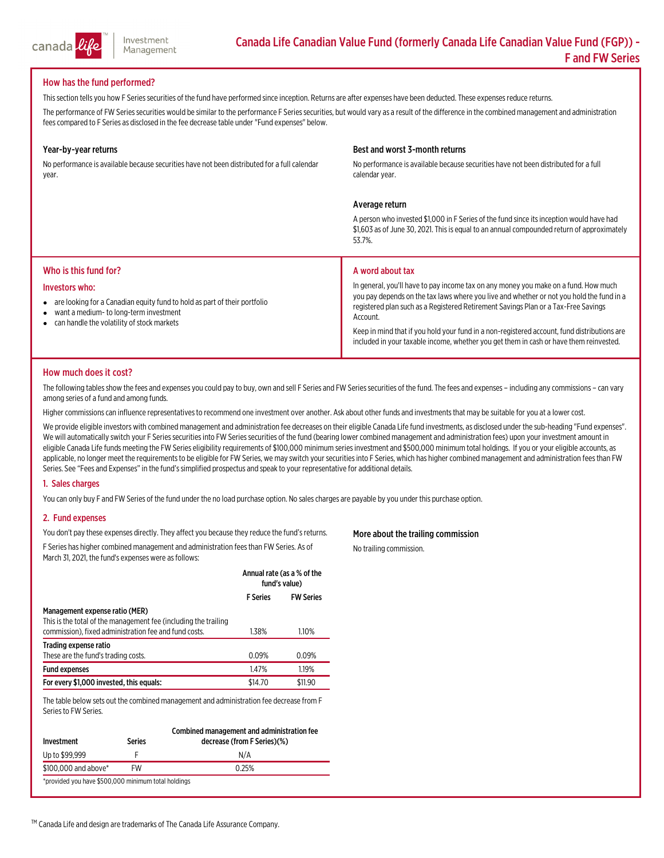

# How has the fund performed?

This section tells you how F Series securities of the fund have performed since inception. Returns are after expenses have been deducted. These expenses reduce returns.

The performance of FW Series securities would be similar to the performance F Series securities, but would vary as a result of the difference in the combined management and administration fees compared to F Series as disclosed in the fee decrease table under "Fund expenses" below.

#### Year-by-year returns

No performance is available because securities have not been distributed for <sup>a</sup> full calendar year.

# Best and worst 3-month returns

No performance is available because securities have not been distributed for a full calendar year.

#### Average return

A person who invested \$1,000 in F Series of the fund since its inception would have had<br>\$1,603 as of June 30, 2021. This is equal to an annual compounded return of approximately<br>53.7%.

#### Who is this fund for?

#### Investors who:

- $\bullet$ are looking for a Canadian equity fund to hold as part of their portfolio
- $\bullet$ want a medium- to long-terminvestment
- $\bullet$ can handle the volatility of stock markets

#### A word about tax

In general, you'll have to pay income tax on any money you make on a fund. How much you pay depends on the tax laws where you live and whether or not you hold the fund in a registered plan such as a Registered Retirement Savings Plan or a Tax-Free Savings<br>Account.

Keep in mind that if you hold your fund in a non-registered account, fund distributions are included in your taxable income, whether you get them in cash or have them reinvested.

# How much does it cost?

The following tables show the fees and expenses you could pay to buy, own and sell F Series and FW Series securities of the fund. The fees and expenses - including any commissions - can vary among series of a fund and amon

Higher commissions can influence representatives to recommend one investment over another. Ask about other funds and investments that may be suitable for you at a lower cost.

We provide eligible investors with combined management and administration fee decreases on their eligible Canada Life fund investments, as disclosed under the sub-heading "Fund expenses".<br>We will automatically switch your

#### 1. Sales charges

You can only buy F and FW Series of the fund under the no load purchase option. No sales charges are payable by you under this purchase option.

# 2. Fund expenses

You don't pay these expenses directly. They affect you because they reduce the fund's returns. F Series has higher combined management and administration fees than FW Series. As of March 31, 2021, the fund's expenses were as follows:

|                                                                                                                                                            | Annual rate (as a % of the<br>fund's value) |                  |
|------------------------------------------------------------------------------------------------------------------------------------------------------------|---------------------------------------------|------------------|
|                                                                                                                                                            | <b>F</b> Series                             | <b>FW Series</b> |
| Management expense ratio (MER)<br>This is the total of the management fee (including the trailing<br>commission), fixed administration fee and fund costs. | 1.38%                                       | 1.10%            |
| Trading expense ratio<br>These are the fund's trading costs.                                                                                               | 0.09%                                       | 0.09%            |
| <b>Fund expenses</b>                                                                                                                                       | 1.47%                                       | 1.19%            |
| For every \$1,000 invested, this equals:                                                                                                                   | \$14.70                                     | \$11.90          |

The table below sets out the combined management and administration fee decrease from F<br>Series to FW Series.

| Investment                                          | Series | Combined management and administration fee<br>decrease (from F Series)(%) |  |  |  |
|-----------------------------------------------------|--------|---------------------------------------------------------------------------|--|--|--|
| Up to \$99.999                                      |        | N/A                                                                       |  |  |  |
| \$100,000 and above*                                | FW     | 0.25%                                                                     |  |  |  |
| *provided you have \$500,000 minimum total holdings |        |                                                                           |  |  |  |

# More about the trailing commission

No trailing commission.